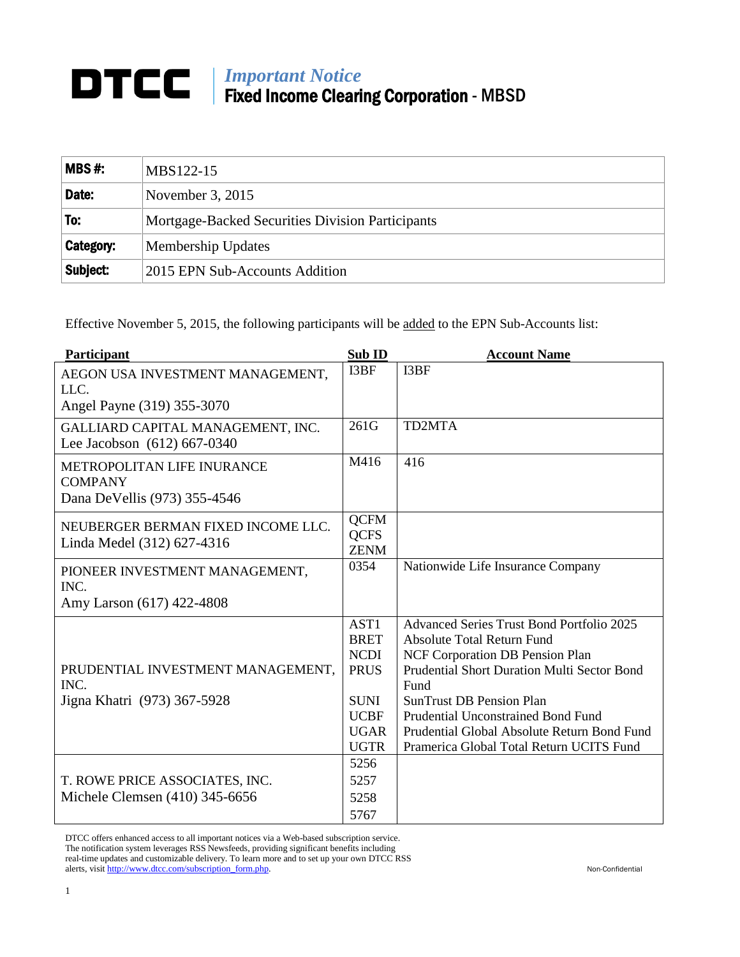## *Important Notice* Fixed Income Clearing Corporation - MBSD

| $MBS#$ :  | MBS122-15                                        |  |
|-----------|--------------------------------------------------|--|
| Date:     | November $3, 2015$                               |  |
| To:       | Mortgage-Backed Securities Division Participants |  |
| Category: | Membership Updates                               |  |
| Subject:  | 2015 EPN Sub-Accounts Addition                   |  |

Effective November 5, 2015, the following participants will be added to the EPN Sub-Accounts list:

| Participant                                                                  | Sub ID                                                   | <b>Account Name</b>                                                                                                                                                                    |
|------------------------------------------------------------------------------|----------------------------------------------------------|----------------------------------------------------------------------------------------------------------------------------------------------------------------------------------------|
| AEGON USA INVESTMENT MANAGEMENT,<br>LLC.                                     | I3BF                                                     | I3BF                                                                                                                                                                                   |
| Angel Payne (319) 355-3070                                                   |                                                          |                                                                                                                                                                                        |
| GALLIARD CAPITAL MANAGEMENT, INC.<br>Lee Jacobson (612) 667-0340             | 261G                                                     | TD2MTA                                                                                                                                                                                 |
| METROPOLITAN LIFE INURANCE<br><b>COMPANY</b><br>Dana DeVellis (973) 355-4546 | M416                                                     | 416                                                                                                                                                                                    |
| NEUBERGER BERMAN FIXED INCOME LLC.<br>Linda Medel (312) 627-4316             | <b>QCFM</b><br><b>QCFS</b><br><b>ZENM</b>                |                                                                                                                                                                                        |
| PIONEER INVESTMENT MANAGEMENT,<br>INC.                                       | 0354                                                     | Nationwide Life Insurance Company                                                                                                                                                      |
| Amy Larson (617) 422-4808                                                    |                                                          |                                                                                                                                                                                        |
| PRUDENTIAL INVESTMENT MANAGEMENT,<br>INC.                                    | AST1<br><b>BRET</b><br><b>NCDI</b><br><b>PRUS</b>        | <b>Advanced Series Trust Bond Portfolio 2025</b><br><b>Absolute Total Return Fund</b><br>NCF Corporation DB Pension Plan<br><b>Prudential Short Duration Multi Sector Bond</b><br>Fund |
| Jigna Khatri (973) 367-5928                                                  | <b>SUNI</b><br><b>UCBF</b><br><b>UGAR</b><br><b>UGTR</b> | <b>SunTrust DB Pension Plan</b><br>Prudential Unconstrained Bond Fund<br>Prudential Global Absolute Return Bond Fund<br>Pramerica Global Total Return UCITS Fund                       |
| T. ROWE PRICE ASSOCIATES, INC.<br>Michele Clemsen (410) 345-6656             | 5256<br>5257<br>5258<br>5767                             |                                                                                                                                                                                        |

DTCC offers enhanced access to all important notices via a Web-based subscription service. The notification system leverages RSS Newsfeeds, providing significant benefits including real-time updates and customizable delivery. To learn more and to set up your own DTCC RSS alerts, visit [http://www.dtcc.com/subscription\\_form.php.](http://www.dtcc.com/subscription_form.php) Non-Confidential